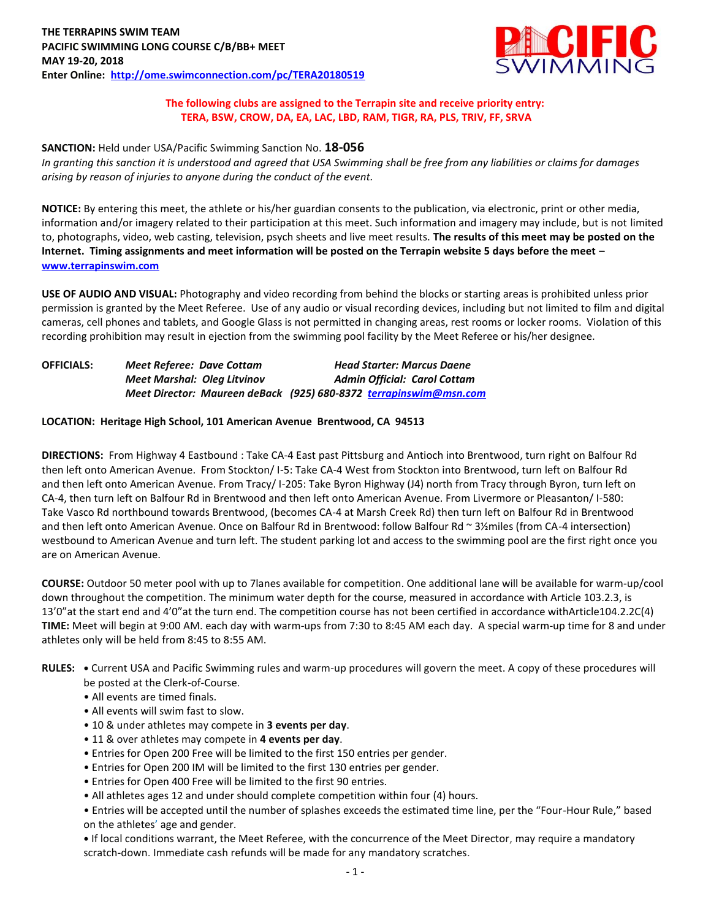

#### **The following clubs are assigned to the Terrapin site and receive priority entry: TERA, BSW, CROW, DA, EA, LAC, LBD, RAM, TIGR, RA, PLS, TRIV, FF, SRVA**

# **SANCTION:** Held under USA/Pacific Swimming Sanction No. **18-056**

*In granting this sanction it is understood and agreed that USA Swimming shall be free from any liabilities or claims for damages arising by reason of injuries to anyone during the conduct of the event.*

**NOTICE:** By entering this meet, the athlete or his/her guardian consents to the publication, via electronic, print or other media, information and/or imagery related to their participation at this meet. Such information and imagery may include, but is not limited to, photographs, video, web casting, television, psych sheets and live meet results. **The results of this meet may be posted on the Internet. Timing assignments and meet information will be posted on the Terrapin website 5 days before the meet – [www.terrapinswim.com](http://www.terrapinswim.com/)**

**USE OF AUDIO AND VISUAL:** Photography and video recording from behind the blocks or starting areas is prohibited unless prior permission is granted by the Meet Referee. Use of any audio or visual recording devices, including but not limited to film and digital cameras, cell phones and tablets, and Google Glass is not permitted in changing areas, rest rooms or locker rooms. Violation of this recording prohibition may result in ejection from the swimming pool facility by the Meet Referee or his/her designee.

| <b>OFFICIALS:</b> | <b>Meet Referee: Dave Cottam</b> | <b>Head Starter: Marcus Daene</b>                                 |
|-------------------|----------------------------------|-------------------------------------------------------------------|
|                   | Meet Marshal: Oleg Litvinov      | <b>Admin Official: Carol Cottam</b>                               |
|                   |                                  | Meet Director: Maureen deBack (925) 680-8372 terrapinswim@msn.com |

#### **LOCATION: Heritage High School, 101 American Avenue Brentwood, CA 94513**

**DIRECTIONS:** From Highway 4 Eastbound : Take CA-4 East past Pittsburg and Antioch into Brentwood, turn right on Balfour Rd then left onto American Avenue. From Stockton/ I-5: Take CA-4 West from Stockton into Brentwood, turn left on Balfour Rd and then left onto American Avenue. From Tracy/ I-205: Take Byron Highway (J4) north from Tracy through Byron, turn left on CA-4, then turn left on Balfour Rd in Brentwood and then left onto American Avenue. From Livermore or Pleasanton/ I-580: Take Vasco Rd northbound towards Brentwood, (becomes CA-4 at Marsh Creek Rd) then turn left on Balfour Rd in Brentwood and then left onto American Avenue. Once on Balfour Rd in Brentwood: follow Balfour Rd ~ 3½miles (from CA-4 intersection) westbound to American Avenue and turn left. The student parking lot and access to the swimming pool are the first right once you are on American Avenue.

**COURSE:** Outdoor 50 meter pool with up to 7lanes available for competition. One additional lane will be available for warm-up/cool down throughout the competition. The minimum water depth for the course, measured in accordance with Article 103.2.3, is 13'0"at the start end and 4'0"at the turn end. The competition course has not been certified in accordance withArticle104.2.2C(4) **TIME:** Meet will begin at 9:00 AM. each day with warm-ups from 7:30 to 8:45 AM each day. A special warm-up time for 8 and under athletes only will be held from 8:45 to 8:55 AM.

- **RULES: •** Current USA and Pacific Swimming rules and warm-up procedures will govern the meet. A copy of these procedures will be posted at the Clerk-of-Course.
	- All events are timed finals.
	- All events will swim fast to slow.
	- 10 & under athletes may compete in **3 events per day**.
	- 11 & over athletes may compete in **4 events per day**.
	- Entries for Open 200 Free will be limited to the first 150 entries per gender.
	- Entries for Open 200 IM will be limited to the first 130 entries per gender.
	- Entries for Open 400 Free will be limited to the first 90 entries.
	- All athletes ages 12 and under should complete competition within four (4) hours.

• Entries will be accepted until the number of splashes exceeds the estimated time line, per the "Four-Hour Rule," based on the athletes' age and gender.

**•** If local conditions warrant, the Meet Referee, with the concurrence of the Meet Director, may require a mandatory scratch-down. Immediate cash refunds will be made for any mandatory scratches.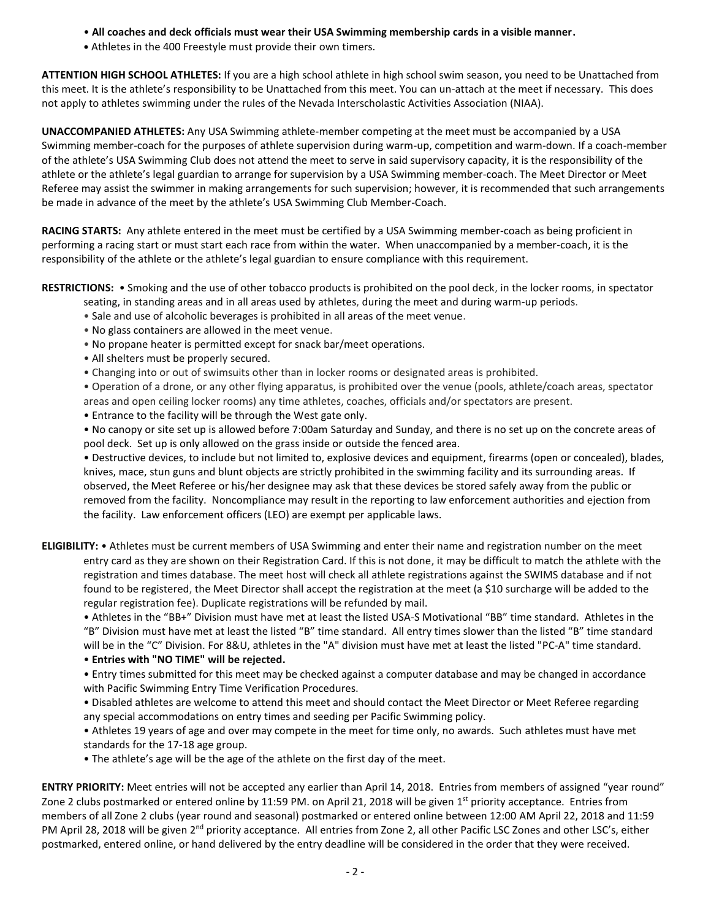- **All coaches and deck officials must wear their USA Swimming membership cards in a visible manner.**
- **•** Athletes in the 400 Freestyle must provide their own timers.

**ATTENTION HIGH SCHOOL ATHLETES:** If you are a high school athlete in high school swim season, you need to be Unattached from this meet. It is the athlete's responsibility to be Unattached from this meet. You can un-attach at the meet if necessary. This does not apply to athletes swimming under the rules of the Nevada Interscholastic Activities Association (NIAA).

**UNACCOMPANIED ATHLETES:** Any USA Swimming athlete-member competing at the meet must be accompanied by a USA Swimming member-coach for the purposes of athlete supervision during warm-up, competition and warm-down. If a coach-member of the athlete's USA Swimming Club does not attend the meet to serve in said supervisory capacity, it is the responsibility of the athlete or the athlete's legal guardian to arrange for supervision by a USA Swimming member-coach. The Meet Director or Meet Referee may assist the swimmer in making arrangements for such supervision; however, it is recommended that such arrangements be made in advance of the meet by the athlete's USA Swimming Club Member-Coach.

**RACING STARTS:** Any athlete entered in the meet must be certified by a USA Swimming member-coach as being proficient in performing a racing start or must start each race from within the water. When unaccompanied by a member-coach, it is the responsibility of the athlete or the athlete's legal guardian to ensure compliance with this requirement.

**RESTRICTIONS:** • Smoking and the use of other tobacco products is prohibited on the pool deck, in the locker rooms, in spectator

- seating, in standing areas and in all areas used by athletes, during the meet and during warm-up periods.
- Sale and use of alcoholic beverages is prohibited in all areas of the meet venue.
- No glass containers are allowed in the meet venue.
- No propane heater is permitted except for snack bar/meet operations.
- All shelters must be properly secured.
- Changing into or out of swimsuits other than in locker rooms or designated areas is prohibited.
- Operation of a drone, or any other flying apparatus, is prohibited over the venue (pools, athlete/coach areas, spectator
- areas and open ceiling locker rooms) any time athletes, coaches, officials and/or spectators are present.
- Entrance to the facility will be through the West gate only.
- No canopy or site set up is allowed before 7:00am Saturday and Sunday, and there is no set up on the concrete areas of pool deck. Set up is only allowed on the grass inside or outside the fenced area.

• Destructive devices, to include but not limited to, explosive devices and equipment, firearms (open or concealed), blades, knives, mace, stun guns and blunt objects are strictly prohibited in the swimming facility and its surrounding areas. If observed, the Meet Referee or his/her designee may ask that these devices be stored safely away from the public or removed from the facility. Noncompliance may result in the reporting to law enforcement authorities and ejection from the facility. Law enforcement officers (LEO) are exempt per applicable laws.

**ELIGIBILITY:** • Athletes must be current members of USA Swimming and enter their name and registration number on the meet entry card as they are shown on their Registration Card. If this is not done, it may be difficult to match the athlete with the registration and times database. The meet host will check all athlete registrations against the SWIMS database and if not found to be registered, the Meet Director shall accept the registration at the meet (a \$10 surcharge will be added to the regular registration fee). Duplicate registrations will be refunded by mail.

• Athletes in the "BB+" Division must have met at least the listed USA-S Motivational "BB" time standard. Athletes in the "B" Division must have met at least the listed "B" time standard. All entry times slower than the listed "B" time standard will be in the "C" Division. For 8&U, athletes in the "A" division must have met at least the listed "PC-A" time standard.

• **Entries with "NO TIME" will be rejected.**

• Entry times submitted for this meet may be checked against a computer database and may be changed in accordance with Pacific Swimming Entry Time Verification Procedures.

• Disabled athletes are welcome to attend this meet and should contact the Meet Director or Meet Referee regarding any special accommodations on entry times and seeding per Pacific Swimming policy.

• Athletes 19 years of age and over may compete in the meet for time only, no awards. Such athletes must have met standards for the 17-18 age group.

• The athlete's age will be the age of the athlete on the first day of the meet.

**ENTRY PRIORITY:** Meet entries will not be accepted any earlier than April 14, 2018. Entries from members of assigned "year round" Zone 2 clubs postmarked or entered online by 11:59 PM. on April 21, 2018 will be given  $1<sup>st</sup>$  priority acceptance. Entries from members of all Zone 2 clubs (year round and seasonal) postmarked or entered online between 12:00 AM April 22, 2018 and 11:59 PM April 28, 2018 will be given 2<sup>nd</sup> priority acceptance. All entries from Zone 2, all other Pacific LSC Zones and other LSC's, either postmarked, entered online, or hand delivered by the entry deadline will be considered in the order that they were received.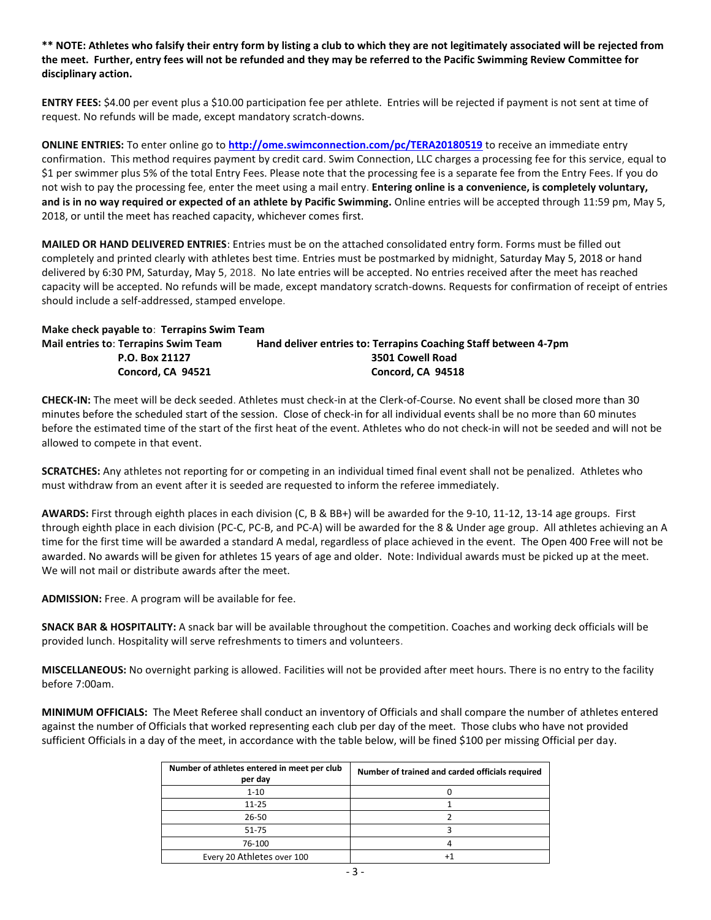**\*\* NOTE: Athletes who falsify their entry form by listing a club to which they are not legitimately associated will be rejected from the meet. Further, entry fees will not be refunded and they may be referred to the Pacific Swimming Review Committee for disciplinary action.**

**ENTRY FEES:** \$4.00 per event plus a \$10.00 participation fee per athlete. Entries will be rejected if payment is not sent at time of request. No refunds will be made, except mandatory scratch-downs.

**ONLINE ENTRIES:** To enter online go to **<http://ome.swimconnection.com/pc/TERA20180519>** to receive an immediate entry confirmation. This method requires payment by credit card. Swim Connection, LLC charges a processing fee for this service, equal to \$1 per swimmer plus 5% of the total Entry Fees. Please note that the processing fee is a separate fee from the Entry Fees. If you do not wish to pay the processing fee, enter the meet using a mail entry. **Entering online is a convenience, is completely voluntary, and is in no way required or expected of an athlete by Pacific Swimming.** Online entries will be accepted through 11:59 pm, May 5, 2018, or until the meet has reached capacity, whichever comes first.

**MAILED OR HAND DELIVERED ENTRIES**: Entries must be on the attached consolidated entry form. Forms must be filled out completely and printed clearly with athletes best time. Entries must be postmarked by midnight, Saturday May 5, 2018 or hand delivered by 6:30 PM, Saturday, May 5, 2018. No late entries will be accepted. No entries received after the meet has reached capacity will be accepted. No refunds will be made, except mandatory scratch-downs. Requests for confirmation of receipt of entries should include a self-addressed, stamped envelope.

**Make check payable to**: **Terrapins Swim Team**

| <b>Mail entries to: Terrapins Swim Team</b> | Hand deliver entries to: Terrapins Coaching Staff between 4-7pm |  |  |  |  |  |
|---------------------------------------------|-----------------------------------------------------------------|--|--|--|--|--|
| P.O. Box 21127                              | 3501 Cowell Road                                                |  |  |  |  |  |
| Concord. CA 94521                           | Concord, CA 94518                                               |  |  |  |  |  |

**CHECK-IN:** The meet will be deck seeded. Athletes must check-in at the Clerk-of-Course. No event shall be closed more than 30 minutes before the scheduled start of the session. Close of check-in for all individual events shall be no more than 60 minutes before the estimated time of the start of the first heat of the event. Athletes who do not check-in will not be seeded and will not be allowed to compete in that event.

**SCRATCHES:** Any athletes not reporting for or competing in an individual timed final event shall not be penalized. Athletes who must withdraw from an event after it is seeded are requested to inform the referee immediately.

**AWARDS:** First through eighth places in each division (C, B & BB+) will be awarded for the 9-10, 11-12, 13-14 age groups. First through eighth place in each division (PC-C, PC-B, and PC-A) will be awarded for the 8 & Under age group. All athletes achieving an A time for the first time will be awarded a standard A medal, regardless of place achieved in the event. The Open 400 Free will not be awarded. No awards will be given for athletes 15 years of age and older. Note: Individual awards must be picked up at the meet. We will not mail or distribute awards after the meet.

**ADMISSION:** Free. A program will be available for fee.

**SNACK BAR & HOSPITALITY:** A snack bar will be available throughout the competition. Coaches and working deck officials will be provided lunch. Hospitality will serve refreshments to timers and volunteers.

**MISCELLANEOUS:** No overnight parking is allowed. Facilities will not be provided after meet hours. There is no entry to the facility before 7:00am.

**MINIMUM OFFICIALS:** The Meet Referee shall conduct an inventory of Officials and shall compare the number of athletes entered against the number of Officials that worked representing each club per day of the meet. Those clubs who have not provided sufficient Officials in a day of the meet, in accordance with the table below, will be fined \$100 per missing Official per day.

| Number of athletes entered in meet per club<br>per day | Number of trained and carded officials required |
|--------------------------------------------------------|-------------------------------------------------|
| $1 - 10$                                               |                                                 |
| $11 - 25$                                              |                                                 |
| 26-50                                                  |                                                 |
| 51-75                                                  |                                                 |
| 76-100                                                 |                                                 |
| Every 20 Athletes over 100                             |                                                 |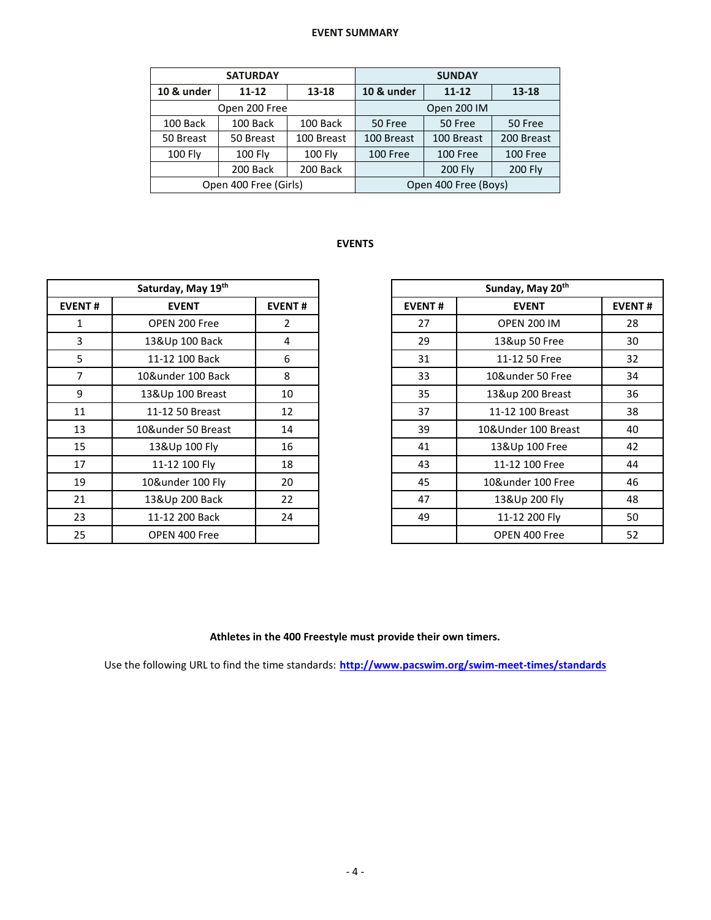## **EVENT SUMMARY**

|                | <b>SATURDAY</b>       |                | <b>SUNDAY</b>        |                |                |  |  |  |
|----------------|-----------------------|----------------|----------------------|----------------|----------------|--|--|--|
| 10 & under     | $11 - 12$<br>13-18    |                | 10 & under           | 13-18          |                |  |  |  |
|                | Open 200 Free         |                | Open 200 IM          |                |                |  |  |  |
| 100 Back       | 100 Back              | 100 Back       | 50 Free              | 50 Free        |                |  |  |  |
| 50 Breast      | 50 Breast             | 100 Breast     | 100 Breast           | 100 Breast     | 200 Breast     |  |  |  |
| <b>100 Fly</b> | $100$ Fly             | <b>100 Fly</b> | 100 Free             | 100 Free       | 100 Free       |  |  |  |
| 200 Back       |                       | 200 Back       |                      | <b>200 Fly</b> | <b>200 Fly</b> |  |  |  |
|                | Open 400 Free (Girls) |                | Open 400 Free (Boys) |                |                |  |  |  |

## **EVENTS**

|               | Saturday, May 19th |               |               | Sunday, May 20th    |               |
|---------------|--------------------|---------------|---------------|---------------------|---------------|
| <b>EVENT#</b> | <b>EVENT</b>       | <b>EVENT#</b> | <b>EVENT#</b> | <b>EVENT</b>        | <b>EVENT#</b> |
| 1             | OPEN 200 Free      | $\mathbf{2}$  | 27            | <b>OPEN 200 IM</b>  | 28            |
| 3             | 13&Up 100 Back     | 4             | 29            | 13&up 50 Free       | 30            |
| 5             | 11-12 100 Back     | 6             | 31            | 11-12 50 Free       | 32            |
| 7             | 10&under 100 Back  | 8             | 33            | 10&under 50 Free    | 34            |
| 9             | 13&Up 100 Breast   | 10            | 35            | 13&up 200 Breast    | 36            |
| 11            | 11-12 50 Breast    | 12            | 37            | 11-12 100 Breast    | 38            |
| 13            | 10&under 50 Breast | 14            | 39            | 10&Under 100 Breast | 40            |
| 15            | 13&Up 100 Fly      | 16            | 41            | 13&Up 100 Free      | 42            |
| 17            | 11-12 100 Fly      | 18            | 43            | 11-12 100 Free      | 44            |
| 19            | 10&under 100 Fly   | 20            | 45            | 10&under 100 Free   | 46            |
| 21            | 13&Up 200 Back     | 22            | 47            | 13&Up 200 Fly       | 48            |
| 23            | 11-12 200 Back     | 24            | 49            | 11-12 200 Fly       | 50            |
| 25            | OPEN 400 Free      |               |               | OPEN 400 Free       | 52            |

| Saturday, May 19th |                    |               | Sunday, May 20 <sup>th</sup> |              |                     |    |
|--------------------|--------------------|---------------|------------------------------|--------------|---------------------|----|
| NT#                | <b>EVENT</b>       | <b>EVENT#</b> | <b>EVENT#</b>                | <b>EVENT</b> | <b>EVENT#</b>       |    |
| 1                  | OPEN 200 Free      | 2             | 27                           |              | <b>OPEN 200 IM</b>  | 28 |
| 3                  | 13&Up 100 Back     | 4             | 29                           |              | 13&up 50 Free       | 30 |
| 5                  | 11-12 100 Back     | 6             | 31                           |              | 11-12 50 Free       | 32 |
| 7                  | 10&under 100 Back  | 8             | 33                           |              | 10&under 50 Free    | 34 |
| 9                  | 13&Up 100 Breast   | 10            | 35                           |              | 13&up 200 Breast    | 36 |
| $\overline{1}$     | 11-12 50 Breast    | 12            | 37                           |              | 11-12 100 Breast    | 38 |
| L3                 | 10&under 50 Breast | 14            | 39                           |              | 10&Under 100 Breast | 40 |
| L5                 | 13&Up 100 Fly      | 16            | 41                           |              | 13&Up 100 Free      | 42 |
| L7                 | 11-12 100 Fly      | 18            | 43                           |              | 11-12 100 Free      | 44 |
| L9                 | 10&under 100 Fly   | 20            | 45                           |              | 10&under 100 Free   | 46 |
| $^{21}$            | 13&Up 200 Back     | 22            | 47                           |              | 13&Up 200 Fly       | 48 |
| 23                 | 11-12 200 Back     | 24            | 49                           |              | 11-12 200 Fly       | 50 |
| 25                 | OPEN 400 Free      |               |                              |              | OPEN 400 Free       | 52 |

### **Athletes in the 400 Freestyle must provide their own timers.**

Use the following URL to find the time standards: **<http://www.pacswim.org/swim-meet-times/standards>**